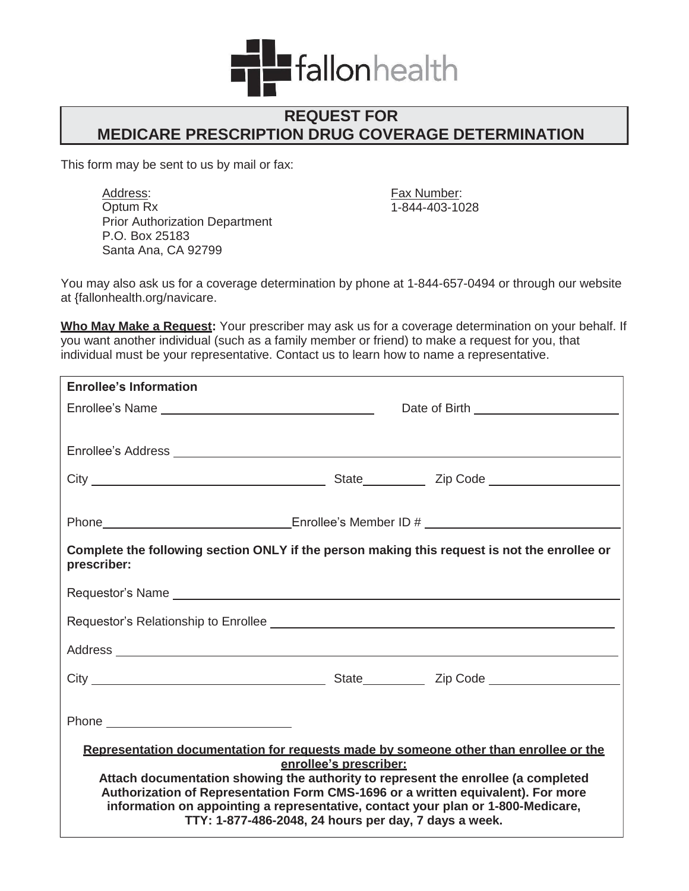

# **REQUEST FOR MEDICARE PRESCRIPTION DRUG COVERAGE DETERMINATION**

This form may be sent to us by mail or fax:

Address: Optum Rx Prior Authorization Department P.O. Box 25183 Santa Ana, CA 92799

Fax Number: 1-844-403-1028

You may also ask us for a coverage determination by phone at 1-844-657-0494 or through our website at {fallonhealth.org/navicare.

**Who May Make a Request:** Your prescriber may ask us for a coverage determination on your behalf. If you want another individual (such as a family member or friend) to make a request for you, that individual must be your representative. Contact us to learn how to name a representative.

| <b>Enrollee's Information</b>                                                                                                                                                                                                                                                                                                                                                                                                        |  |  |  |
|--------------------------------------------------------------------------------------------------------------------------------------------------------------------------------------------------------------------------------------------------------------------------------------------------------------------------------------------------------------------------------------------------------------------------------------|--|--|--|
|                                                                                                                                                                                                                                                                                                                                                                                                                                      |  |  |  |
|                                                                                                                                                                                                                                                                                                                                                                                                                                      |  |  |  |
|                                                                                                                                                                                                                                                                                                                                                                                                                                      |  |  |  |
|                                                                                                                                                                                                                                                                                                                                                                                                                                      |  |  |  |
|                                                                                                                                                                                                                                                                                                                                                                                                                                      |  |  |  |
|                                                                                                                                                                                                                                                                                                                                                                                                                                      |  |  |  |
| Complete the following section ONLY if the person making this request is not the enrollee or<br>prescriber:                                                                                                                                                                                                                                                                                                                          |  |  |  |
|                                                                                                                                                                                                                                                                                                                                                                                                                                      |  |  |  |
|                                                                                                                                                                                                                                                                                                                                                                                                                                      |  |  |  |
|                                                                                                                                                                                                                                                                                                                                                                                                                                      |  |  |  |
|                                                                                                                                                                                                                                                                                                                                                                                                                                      |  |  |  |
| Phone and the contract of the contract of the contract of the contract of the contract of the contract of the contract of the contract of the contract of the contract of the contract of the contract of the contract of the                                                                                                                                                                                                        |  |  |  |
| Representation documentation for requests made by someone other than enrollee or the<br>enrollee's prescriber:<br>Attach documentation showing the authority to represent the enrollee (a completed<br>Authorization of Representation Form CMS-1696 or a written equivalent). For more<br>information on appointing a representative, contact your plan or 1-800-Medicare,<br>TTY: 1-877-486-2048, 24 hours per day, 7 days a week. |  |  |  |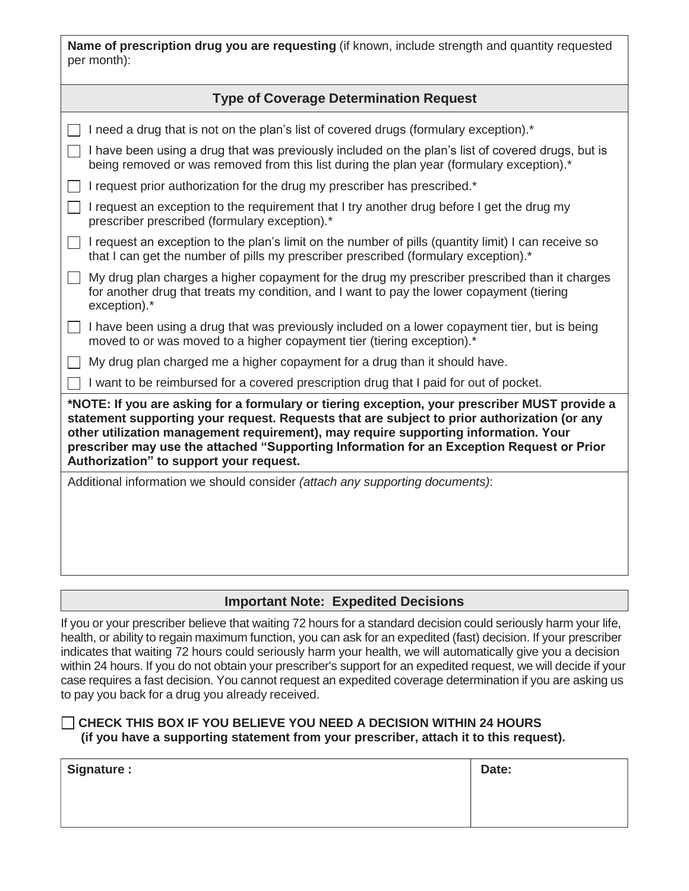**Name of prescription drug you are requesting** (if known, include strength and quantity requested per month):

## **Type of Coverage Determination Request**

|                                                                                                                                                                                                                                                                                                                                                                                                                             | I need a drug that is not on the plan's list of covered drugs (formulary exception).*                                                                                                                      |  |  |
|-----------------------------------------------------------------------------------------------------------------------------------------------------------------------------------------------------------------------------------------------------------------------------------------------------------------------------------------------------------------------------------------------------------------------------|------------------------------------------------------------------------------------------------------------------------------------------------------------------------------------------------------------|--|--|
|                                                                                                                                                                                                                                                                                                                                                                                                                             | I have been using a drug that was previously included on the plan's list of covered drugs, but is<br>being removed or was removed from this list during the plan year (formulary exception).*              |  |  |
|                                                                                                                                                                                                                                                                                                                                                                                                                             | I request prior authorization for the drug my prescriber has prescribed.*                                                                                                                                  |  |  |
|                                                                                                                                                                                                                                                                                                                                                                                                                             | I request an exception to the requirement that I try another drug before I get the drug my<br>prescriber prescribed (formulary exception).*                                                                |  |  |
|                                                                                                                                                                                                                                                                                                                                                                                                                             | I request an exception to the plan's limit on the number of pills (quantity limit) I can receive so<br>that I can get the number of pills my prescriber prescribed (formulary exception).*                 |  |  |
|                                                                                                                                                                                                                                                                                                                                                                                                                             | My drug plan charges a higher copayment for the drug my prescriber prescribed than it charges<br>for another drug that treats my condition, and I want to pay the lower copayment (tiering<br>exception).* |  |  |
|                                                                                                                                                                                                                                                                                                                                                                                                                             | I have been using a drug that was previously included on a lower copayment tier, but is being<br>moved to or was moved to a higher copayment tier (tiering exception).*                                    |  |  |
|                                                                                                                                                                                                                                                                                                                                                                                                                             | My drug plan charged me a higher copayment for a drug than it should have.                                                                                                                                 |  |  |
|                                                                                                                                                                                                                                                                                                                                                                                                                             | I want to be reimbursed for a covered prescription drug that I paid for out of pocket.                                                                                                                     |  |  |
| *NOTE: If you are asking for a formulary or tiering exception, your prescriber MUST provide a<br>statement supporting your request. Requests that are subject to prior authorization (or any<br>other utilization management requirement), may require supporting information. Your<br>prescriber may use the attached "Supporting Information for an Exception Request or Prior<br>Authorization" to support your request. |                                                                                                                                                                                                            |  |  |
|                                                                                                                                                                                                                                                                                                                                                                                                                             | Additional information we should consider (attach any supporting documents):                                                                                                                               |  |  |
|                                                                                                                                                                                                                                                                                                                                                                                                                             |                                                                                                                                                                                                            |  |  |
|                                                                                                                                                                                                                                                                                                                                                                                                                             |                                                                                                                                                                                                            |  |  |
|                                                                                                                                                                                                                                                                                                                                                                                                                             |                                                                                                                                                                                                            |  |  |
|                                                                                                                                                                                                                                                                                                                                                                                                                             |                                                                                                                                                                                                            |  |  |

## **Important Note: Expedited Decisions**

If you or your prescriber believe that waiting 72 hours for a standard decision could seriously harm your life, health, or ability to regain maximum function, you can ask for an expedited (fast) decision. If your prescriber indicates that waiting 72 hours could seriously harm your health, we will automatically give you a decision within 24 hours. If you do not obtain your prescriber's support for an expedited request, we will decide if your case requires a fast decision. You cannot request an expedited coverage determination if you are asking us to pay you back for a drug you already received.

#### **CHECK THIS BOX IF YOU BELIEVE YOU NEED A DECISION WITHIN 24 HOURS (if you have a supporting statement from your prescriber, attach it to this request).**

| Signature : | Date: |
|-------------|-------|
|             |       |
|             |       |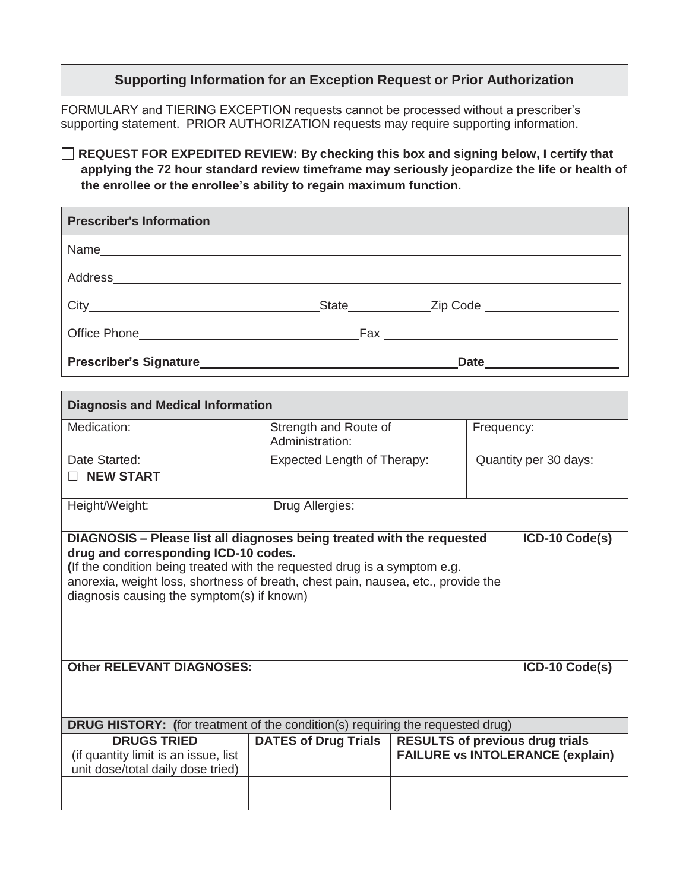## **Supporting Information for an Exception Request or Prior Authorization**

FORMULARY and TIERING EXCEPTION requests cannot be processed without a prescriber's supporting statement. PRIOR AUTHORIZATION requests may require supporting information.

**REQUEST FOR EXPEDITED REVIEW: By checking this box and signing below, I certify that applying the 72 hour standard review timeframe may seriously jeopardize the life or health of the enrollee or the enrollee's ability to regain maximum function.**

| <b>Prescriber's Information</b>                                               |                    |                                       |  |
|-------------------------------------------------------------------------------|--------------------|---------------------------------------|--|
|                                                                               |                    |                                       |  |
| Address<br><u> 1980 - Jan Samuel Barbara, margaret eta idazlea (h. 1980).</u> |                    |                                       |  |
| City                                                                          | <b>State State</b> | Zip Code <u>_____________________</u> |  |
|                                                                               |                    |                                       |  |
| <b>Prescriber's Signature</b>                                                 |                    | <b>Date</b>                           |  |

| <b>Diagnosis and Medical Information</b>                                                                                                                                                                                                                                                                                       |                                          |                                                                                   |                       |  |
|--------------------------------------------------------------------------------------------------------------------------------------------------------------------------------------------------------------------------------------------------------------------------------------------------------------------------------|------------------------------------------|-----------------------------------------------------------------------------------|-----------------------|--|
| Medication:                                                                                                                                                                                                                                                                                                                    | Strength and Route of<br>Administration: |                                                                                   | Frequency:            |  |
| Date Started:                                                                                                                                                                                                                                                                                                                  | Expected Length of Therapy:              |                                                                                   | Quantity per 30 days: |  |
| <b>NEW START</b>                                                                                                                                                                                                                                                                                                               |                                          |                                                                                   |                       |  |
| Height/Weight:                                                                                                                                                                                                                                                                                                                 | Drug Allergies:                          |                                                                                   |                       |  |
| DIAGNOSIS - Please list all diagnoses being treated with the requested<br>drug and corresponding ICD-10 codes.<br>(If the condition being treated with the requested drug is a symptom e.g.<br>anorexia, weight loss, shortness of breath, chest pain, nausea, etc., provide the<br>diagnosis causing the symptom(s) if known) |                                          |                                                                                   | ICD-10 Code(s)        |  |
| <b>Other RELEVANT DIAGNOSES:</b>                                                                                                                                                                                                                                                                                               |                                          |                                                                                   | ICD-10 Code(s)        |  |
| <b>DRUG HISTORY:</b> (for treatment of the condition(s) requiring the requested drug)                                                                                                                                                                                                                                          |                                          |                                                                                   |                       |  |
| <b>DRUGS TRIED</b><br>(if quantity limit is an issue, list<br>unit dose/total daily dose tried)                                                                                                                                                                                                                                | <b>DATES of Drug Trials</b>              | <b>RESULTS of previous drug trials</b><br><b>FAILURE vs INTOLERANCE (explain)</b> |                       |  |
|                                                                                                                                                                                                                                                                                                                                |                                          |                                                                                   |                       |  |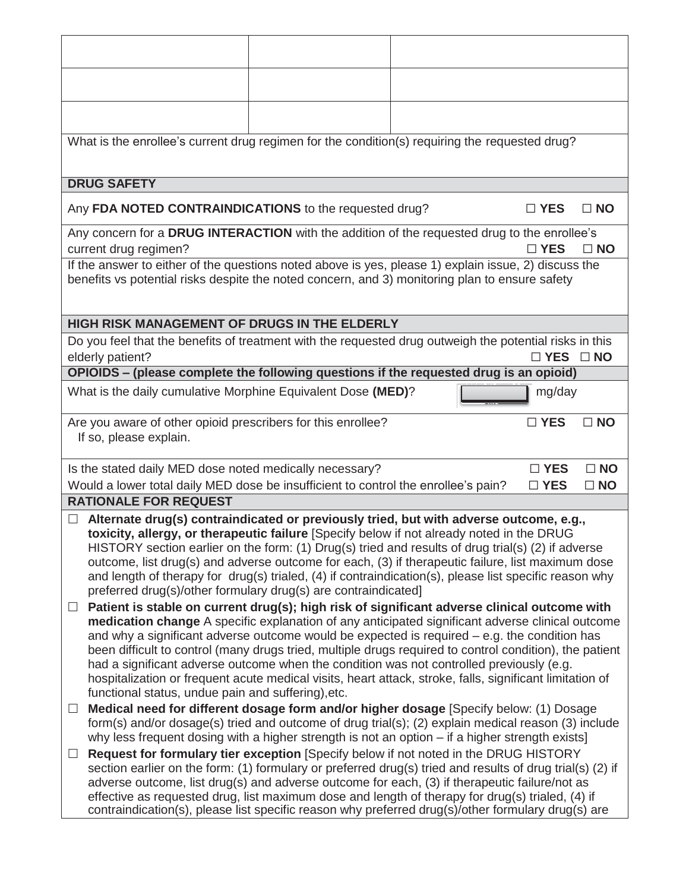| What is the enrollee's current drug regimen for the condition(s) requiring the requested drug?                                                                                                             |                                                                                                                                                                                                           |  |               |           |
|------------------------------------------------------------------------------------------------------------------------------------------------------------------------------------------------------------|-----------------------------------------------------------------------------------------------------------------------------------------------------------------------------------------------------------|--|---------------|-----------|
|                                                                                                                                                                                                            |                                                                                                                                                                                                           |  |               |           |
| <b>DRUG SAFETY</b>                                                                                                                                                                                         |                                                                                                                                                                                                           |  |               |           |
| Any FDA NOTED CONTRAINDICATIONS to the requested drug?                                                                                                                                                     |                                                                                                                                                                                                           |  | $\square$ YES | $\Box$ NO |
| Any concern for a DRUG INTERACTION with the addition of the requested drug to the enrollee's                                                                                                               |                                                                                                                                                                                                           |  | $\Box$ YES    | $\Box$ NO |
| current drug regimen?<br>If the answer to either of the questions noted above is yes, please 1) explain issue, 2) discuss the                                                                              |                                                                                                                                                                                                           |  |               |           |
| benefits vs potential risks despite the noted concern, and 3) monitoring plan to ensure safety                                                                                                             |                                                                                                                                                                                                           |  |               |           |
|                                                                                                                                                                                                            |                                                                                                                                                                                                           |  |               |           |
| HIGH RISK MANAGEMENT OF DRUGS IN THE ELDERLY                                                                                                                                                               |                                                                                                                                                                                                           |  |               |           |
| Do you feel that the benefits of treatment with the requested drug outweigh the potential risks in this<br>elderly patient?                                                                                |                                                                                                                                                                                                           |  | $\square$ YES | $\Box$ NO |
| OPIOIDS - (please complete the following questions if the requested drug is an opioid)                                                                                                                     |                                                                                                                                                                                                           |  |               |           |
| What is the daily cumulative Morphine Equivalent Dose (MED)?                                                                                                                                               |                                                                                                                                                                                                           |  | mg/day        |           |
| Are you aware of other opioid prescribers for this enrollee?<br>$\square$ YES<br>$\Box$ NO                                                                                                                 |                                                                                                                                                                                                           |  |               |           |
| If so, please explain.                                                                                                                                                                                     |                                                                                                                                                                                                           |  |               |           |
| Is the stated daily MED dose noted medically necessary?                                                                                                                                                    |                                                                                                                                                                                                           |  | $\square$ YES | $\Box$ NO |
| Would a lower total daily MED dose be insufficient to control the enrollee's pain?<br><b>RATIONALE FOR REQUEST</b>                                                                                         |                                                                                                                                                                                                           |  | $\square$ YES | $\Box$ NO |
| Alternate drug(s) contraindicated or previously tried, but with adverse outcome, e.g.,<br>$\Box$                                                                                                           |                                                                                                                                                                                                           |  |               |           |
| toxicity, allergy, or therapeutic failure [Specify below if not already noted in the DRUG                                                                                                                  |                                                                                                                                                                                                           |  |               |           |
| HISTORY section earlier on the form: (1) Drug(s) tried and results of drug trial(s) (2) if adverse<br>outcome, list drug(s) and adverse outcome for each, (3) if therapeutic failure, list maximum dose    |                                                                                                                                                                                                           |  |               |           |
| and length of therapy for drug(s) trialed, (4) if contraindication(s), please list specific reason why<br>preferred drug(s)/other formulary drug(s) are contraindicated]                                   |                                                                                                                                                                                                           |  |               |           |
| Patient is stable on current drug(s); high risk of significant adverse clinical outcome with<br>$\Box$                                                                                                     |                                                                                                                                                                                                           |  |               |           |
| medication change A specific explanation of any anticipated significant adverse clinical outcome                                                                                                           |                                                                                                                                                                                                           |  |               |           |
|                                                                                                                                                                                                            | and why a significant adverse outcome would be expected is required $-$ e.g. the condition has<br>been difficult to control (many drugs tried, multiple drugs required to control condition), the patient |  |               |           |
| had a significant adverse outcome when the condition was not controlled previously (e.g.<br>hospitalization or frequent acute medical visits, heart attack, stroke, falls, significant limitation of       |                                                                                                                                                                                                           |  |               |           |
| functional status, undue pain and suffering), etc.                                                                                                                                                         |                                                                                                                                                                                                           |  |               |           |
| $\Box$                                                                                                                                                                                                     |                                                                                                                                                                                                           |  |               |           |
|                                                                                                                                                                                                            | Medical need for different dosage form and/or higher dosage [Specify below: (1) Dosage                                                                                                                    |  |               |           |
| form(s) and/or dosage(s) tried and outcome of drug trial(s); (2) explain medical reason (3) include<br>why less frequent dosing with a higher strength is not an option – if a higher strength exists]     |                                                                                                                                                                                                           |  |               |           |
| Request for formulary tier exception [Specify below if not noted in the DRUG HISTORY<br>⊔                                                                                                                  |                                                                                                                                                                                                           |  |               |           |
| section earlier on the form: (1) formulary or preferred drug(s) tried and results of drug trial(s) (2) if<br>adverse outcome, list drug(s) and adverse outcome for each, (3) if therapeutic failure/not as |                                                                                                                                                                                                           |  |               |           |
| effective as requested drug, list maximum dose and length of therapy for drug(s) trialed, (4) if<br>contraindication(s), please list specific reason why preferred drug(s)/other formulary drug(s) are     |                                                                                                                                                                                                           |  |               |           |